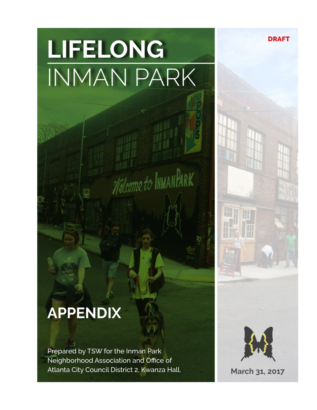# **LIFELONG** INMAN PARK

Welcome to INMANPARK

## **APPENDIX**

Prepared by TSW for the Inman Park Neighborhood Association and Office of Atlanta City Council District 2, Kwanza Hall.



DRAFT

**March 31, 2017**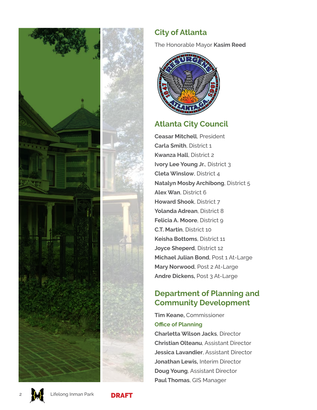

#### **City of Atlanta**

The Honorable Mayor **Kasim Reed**



#### **Atlanta City Council**

**Ceasar Mitchell**, President **Carla Smith**, District 1 **Kwanza Hall**, District 2 **Ivory Lee Young Jr.**, District 3 **Cleta Winslow**, District 4 **Natalyn Mosby Archibong**, District 5 **Alex Wan**, District 6 **Howard Shook**, District 7 **Yolanda Adrean**, District 8 **Felicia A. Moore, District 9. C.T. Martin**, District 10 **Keisha Bottoms**, District 11 **Joyce Sheperd**, District 12 **Michael Julian Bond**, Post 1 At-Large **Mary Norwood**, Post 2 At-Large **Andre Dickens,** Post 3 At-Large

#### **Department of Planning and Community Development**

**Tim Keane,** Commissioner **Office of Planning Charletta Wilson Jacks**, Director **Christian Olteanu**, Assistant Director **Jessica Lavandier**, Assistant Director **Jonathan Lewis,** Interim Director **Doug Young**, Assistant Director **Paul Thomas**, GIS Manager



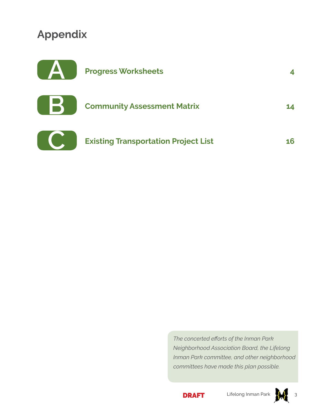#### **Appendix**



| <b>Community Assessment Matrix</b> | 14 |  |
|------------------------------------|----|--|
|                                    |    |  |



**Existing Transportation Project List 16**

*The concerted eforts of the Inman Park Neighborhood Association Board, the Lifelong Inman Park committee, and other neighborhood committees have made this plan possible.* 





3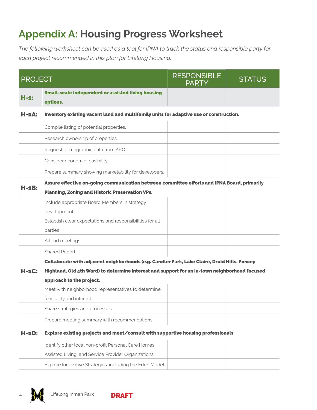#### **Appendix A: Housing Progress Worksheet**

*The following worksheet can be used as a tool for IPNA to track the status and responsible party for each project recommended in this plan for Lifelong Housing.* 

| <b>PROJECT</b> |                                                                                               | <b>RESPONSIBLE</b><br><b>PARTY</b> | <b>STATUS</b> |
|----------------|-----------------------------------------------------------------------------------------------|------------------------------------|---------------|
| $H-1$ :        | <b>Small-scale independent or assisted living housing</b><br>options.                         |                                    |               |
| Н-1А:          | Inventory existing vacant land and multifamily units for adaptive use or construction.        |                                    |               |
|                | Compile listing of potential properties.                                                      |                                    |               |
|                | Research ownership of properties.                                                             |                                    |               |
|                | Request demographic data from ARC.                                                            |                                    |               |
|                | Consider economic feasibility.                                                                |                                    |               |
|                | Prepare summary showing marketability for developers.                                         |                                    |               |
|                | Assure effective on-going communication between committee efforts and IPNA Board, primarily   |                                    |               |
| H-1B:          | <b>Planning, Zoning and Historic Preservation VPs.</b>                                        |                                    |               |
|                | Include appropriate Board Members in strategy                                                 |                                    |               |
|                | development                                                                                   |                                    |               |
|                | Establish clear expectations and responsibilities for all                                     |                                    |               |
|                | parties                                                                                       |                                    |               |
|                | Attend meetings.                                                                              |                                    |               |
|                | Shared Report                                                                                 |                                    |               |
|                | Collaborate with adjacent neighborhoods (e.g. Candler Park, Lake Claire, Druid Hills, Poncey  |                                    |               |
| H-1C:          | Highland, Old 4th Ward) to determine interest and support for an in-town neighborhood focused |                                    |               |
|                | approach to the project.                                                                      |                                    |               |
|                | Meet with neighborhood representatives to determine                                           |                                    |               |
|                | feasibility and interest.                                                                     |                                    |               |
|                | Share strategies and processes                                                                |                                    |               |
|                | Prepare meeting summary with recommendations.                                                 |                                    |               |
| $H - 1D$ :     | Explore existing projects and meet/consult with supportive housing professionals              |                                    |               |
|                | Identify other local non-profit Personal Care Homes,                                          |                                    |               |
|                | Assisted Living, and Service Provider Organizations                                           |                                    |               |





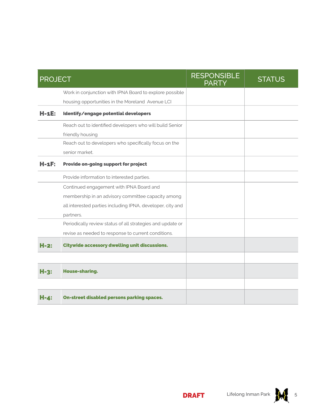| <b>PROJECT</b> |                                                            | <b>RESPONSIBLE</b><br><b>PARTY</b> | <b>STATUS</b> |
|----------------|------------------------------------------------------------|------------------------------------|---------------|
|                | Work in conjunction with IPNA Board to explore possible    |                                    |               |
|                | housing opportunities in the Moreland Avenue LCI           |                                    |               |
| H-1E:          | Identify/engage potential developers                       |                                    |               |
|                | Reach out to identified developers who will build Senior   |                                    |               |
|                | friendly housing                                           |                                    |               |
|                | Reach out to developers who specifically focus on the      |                                    |               |
|                | senior market.                                             |                                    |               |
| H-1F:          | Provide on-going support for project                       |                                    |               |
|                | Provide information to interested parties.                 |                                    |               |
|                | Continued engagement with IPNA Board and                   |                                    |               |
|                | membership in an advisory committee capacity among         |                                    |               |
|                | all interested parties including IPNA, developer, city and |                                    |               |
|                | partners.                                                  |                                    |               |
|                | Periodically review status of all strategies and update or |                                    |               |
|                | revise as needed to response to current conditions.        |                                    |               |
| $H-2:$         | <b>Citywide accessory dwelling unit discussions.</b>       |                                    |               |
|                |                                                            |                                    |               |
| $H-3:$         | <b>House-sharing.</b>                                      |                                    |               |
|                |                                                            |                                    |               |
| H-4:           | <b>On-street disabled persons parking spaces.</b>          |                                    |               |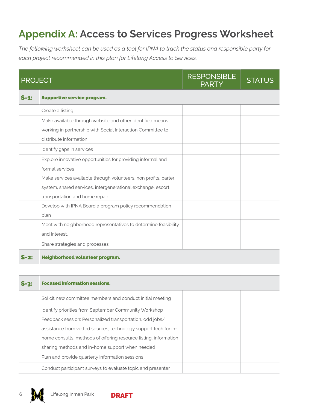#### **Appendix A: Access to Services Progress Worksheet**

*The following worksheet can be used as a tool for IPNA to track the status and responsible party for each project recommended in this plan for Lifelong Access to Services.* 

|        | <b>PROJECT</b>                                                  | <b>RESPONSIBLE</b><br><b>PARTY</b> | <b>STATUS</b> |
|--------|-----------------------------------------------------------------|------------------------------------|---------------|
| $S-1:$ | <b>Supportive service program.</b>                              |                                    |               |
|        | Create a listing                                                |                                    |               |
|        | Make available through website and other identified means       |                                    |               |
|        | working in partnership with Social Interaction Committee to     |                                    |               |
|        | distribute information                                          |                                    |               |
|        | Identify gaps in services                                       |                                    |               |
|        | Explore innovative opportunities for providing informal and     |                                    |               |
|        | formal services                                                 |                                    |               |
|        | Make services available through volunteers, non profits, barter |                                    |               |
|        | system, shared services, intergenerational exchange, escort     |                                    |               |
|        | transportation and home repair                                  |                                    |               |
|        | Develop with IPNA Board a program policy recommendation         |                                    |               |
|        | plan                                                            |                                    |               |
|        | Meet with neighborhood representatives to determine feasibility |                                    |               |
|        | and interest.                                                   |                                    |               |
|        | Share strategies and processes                                  |                                    |               |
| $S-2:$ | Neighborhood volunteer program.                                 |                                    |               |
|        |                                                                 |                                    |               |
| -2:    | <b>Focused information sessions.</b>                            |                                    |               |

| 5-31 | Focused information sessions.                                    |  |
|------|------------------------------------------------------------------|--|
|      | Solicit new committee members and conduct initial meeting        |  |
|      | Identify priorities from September Community Workshop            |  |
|      | Feedback session: Personalized transportation, odd jobs/         |  |
|      | assistance from vetted sources, technology support tech for in-  |  |
|      | home consults, methods of offering resource listing, information |  |
|      | sharing methods and in-home support when needed                  |  |
|      | Plan and provide quarterly information sessions                  |  |
|      | Conduct participant surveys to evaluate topic and presenter      |  |



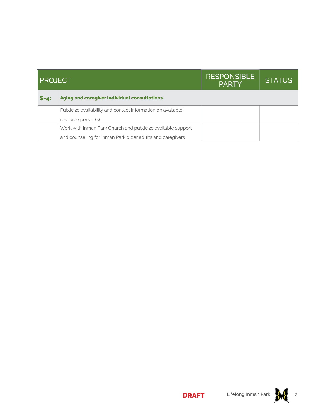| <b>PROJECT</b> |                                                             | <b>RESPONSIBLE</b><br><b>PARTY</b> | <b>STATUS</b> |
|----------------|-------------------------------------------------------------|------------------------------------|---------------|
| $S - 4:$       | Aging and caregiver individual consultations.               |                                    |               |
|                | Publicize availability and contact information on available |                                    |               |
|                | resource person(s)                                          |                                    |               |
|                | Work with Inman Park Church and publicize available support |                                    |               |
|                | and counseling for Inman Park older adults and caregivers   |                                    |               |

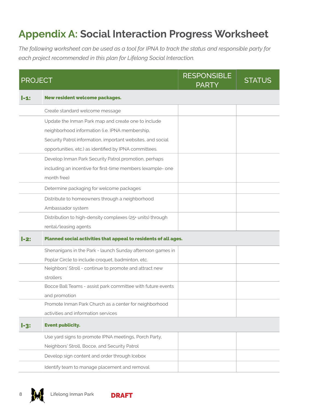#### **Appendix A: Social Interaction Progress Worksheet**

*The following worksheet can be used as a tool for IPNA to track the status and responsible party for each project recommended in this plan for Lifelong Social Interaction.* 

| <b>PROJECT</b> |                                                                 | <b>RESPONSIBLE</b><br><b>PARTY</b> | <b>STATUS</b> |
|----------------|-----------------------------------------------------------------|------------------------------------|---------------|
| I-1:           | <b>New resident welcome packages.</b>                           |                                    |               |
|                | Create standard welcome message                                 |                                    |               |
|                | Update the Inman Park map and create one to include             |                                    |               |
|                | neighborhood information (i.e. IPNA membership,                 |                                    |               |
|                | Security Patrol information, important websites, and social     |                                    |               |
|                | opportunities, etc.) as identified by IPNA committees.          |                                    |               |
|                | Develop Inman Park Security Patrol promotion, perhaps           |                                    |               |
|                | including an incentive for first-time members (example- one     |                                    |               |
|                | month free)                                                     |                                    |               |
|                | Determine packaging for welcome packages                        |                                    |               |
|                | Distribute to homeowners through a neighborhood                 |                                    |               |
|                | Ambassador system                                               |                                    |               |
|                | Distribution to high-density complexes (25+ units) through      |                                    |               |
|                | rental/leasing agents                                           |                                    |               |
| -2:            | Planned social activities that appeal to residents of all ages. |                                    |               |
|                | Shenanigans in the Park - launch Sunday afternoon games in      |                                    |               |
|                | Poplar Circle to include croquet, badminton, etc.               |                                    |               |
|                | Neighbors' Stroll - continue to promote and attract new         |                                    |               |
|                | strollers                                                       |                                    |               |
|                | Bocce Ball Teams - assist park committee with future events     |                                    |               |
|                | and promotion                                                   |                                    |               |
|                | Promote Inman Park Church as a center for neighborhood          |                                    |               |
|                | activities and information services                             |                                    |               |
| $l-3$ :        | <b>Event publicity.</b>                                         |                                    |               |
|                | Use yard signs to promote IPNA meetings, Porch Party,           |                                    |               |
|                | Neighbors' Stroll, Bocce, and Security Patrol                   |                                    |               |
|                | Develop sign content and order through Icebox                   |                                    |               |
|                | Identify team to manage placement and removal                   |                                    |               |



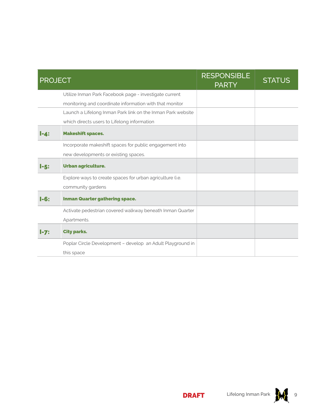| <b>PROJECT</b> |                                                             | <b>RESPONSIBLE</b><br><b>PARTY</b> | <b>STATUS</b> |
|----------------|-------------------------------------------------------------|------------------------------------|---------------|
|                | Utilize Inman Park Facebook page - investigate current      |                                    |               |
|                | monitoring and coordinate information with that monitor     |                                    |               |
|                | Launch a Lifelong Inman Park link on the Inman Park website |                                    |               |
|                | which directs users to Lifelong information                 |                                    |               |
| I-4:           | <b>Makeshift spaces.</b>                                    |                                    |               |
|                | Incorporate makeshift spaces for public engagement into     |                                    |               |
|                | new developments or existing spaces.                        |                                    |               |
| $1 - 5:$       | Urban agriculture.                                          |                                    |               |
|                | Explore ways to create spaces for urban agriculture (i.e.   |                                    |               |
|                | community gardens                                           |                                    |               |
| $l-6:$         | <b>Inman Quarter gathering space.</b>                       |                                    |               |
|                | Activate pedestrian covered walkway beneath Inman Quarter   |                                    |               |
|                | Apartments.                                                 |                                    |               |
| $I-7:$         | <b>City parks.</b>                                          |                                    |               |
|                | Poplar Circle Development - develop an Adult Playground in  |                                    |               |
|                | this space                                                  |                                    |               |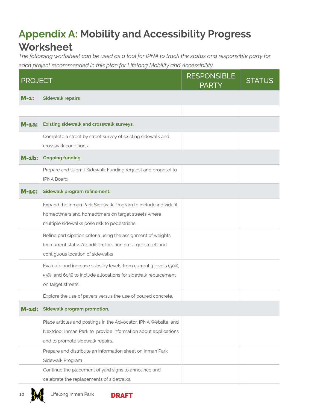#### **Appendix A: Mobility and Accessibility Progress Worksheet**

*The following worksheet can be used as a tool for IPNA to track the status and responsible party for each project recommended in this plan for Lifelong Mobility and Accessibility.* 

| <b>PROJECT</b> |                                                                                                                                                                      | <b>RESPONSIBLE</b><br><b>PARTY</b> | <b>STATUS</b> |
|----------------|----------------------------------------------------------------------------------------------------------------------------------------------------------------------|------------------------------------|---------------|
| M-1:           | <b>Sidewalk repairs</b>                                                                                                                                              |                                    |               |
|                |                                                                                                                                                                      |                                    |               |
| $M-1a$ :       | <b>Existing sidewalk and crosswalk surveys.</b>                                                                                                                      |                                    |               |
|                | Complete a street by street survey of existing sidewalk and<br>crosswalk conditions.                                                                                 |                                    |               |
| $M-1b$ :       | <b>Ongoing funding.</b>                                                                                                                                              |                                    |               |
|                | Prepare and submit Sidewalk Funding request and proposal to<br><b>IPNA Board.</b>                                                                                    |                                    |               |
| -1C:           | Sidewalk program refinement.                                                                                                                                         |                                    |               |
|                | Expand the Inman Park Sidewalk Program to include individual<br>homeowners and homeowners on target streets where<br>multiple sidewalks pose risk to pedestrians.    |                                    |               |
|                | Refine participation criteria using the assignment of weights<br>for: current status/condition; location on target street' and<br>contiguous location of sidewalks   |                                    |               |
|                | Evaluate and increase subsidy levels from current 3 levels (50%,<br>55%, and 60%) to include allocations for sidewalk replacement<br>on target streets.              |                                    |               |
|                | Explore the use of pavers versus the use of poured concrete.                                                                                                         |                                    |               |
| <b>M-1d:</b>   | Sidewalk program promotion.                                                                                                                                          |                                    |               |
|                | Place articles and postings in the Advocator, IPNA Website, and<br>Nextdoor Inman Park to provide information about applications<br>and to promote sidewalk repairs. |                                    |               |
|                | Prepare and distribute an information sheet on Inman Park<br>Sidewalk Program<br>Continue the placement of yard signs to announce and                                |                                    |               |
|                | celebrate the replacements of sidewalks.                                                                                                                             |                                    |               |



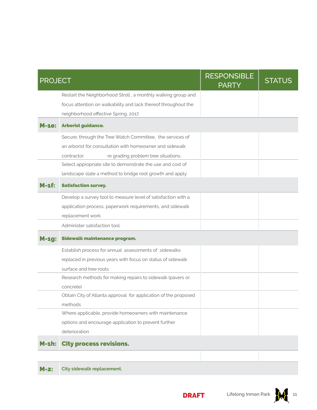| <b>PROJECT</b> |                                                                 | <b>RESPONSIBLE</b><br><b>PARTY</b> | <b>STATUS</b> |
|----------------|-----------------------------------------------------------------|------------------------------------|---------------|
|                | Restart the Neighborhood Stroll, a monthly walking group and    |                                    |               |
|                | focus attention on walkability and lack thereof throughout the  |                                    |               |
|                | neighborhood effective Spring, 2017.                            |                                    |               |
| <b>M-1e:</b>   | Arborist guidance.                                              |                                    |               |
|                | Secure, through the Tree Watch Committee, the services of       |                                    |               |
|                | an arborist for consultation with homeowner and sidewalk        |                                    |               |
|                | re grading problem tree situations.<br>contractor               |                                    |               |
|                | Select appropriate site to demonstrate the use and cost of      |                                    |               |
|                | landscape slate a method to bridge root growth and apply.       |                                    |               |
| M-1f:          | <b>Satisfaction survey.</b>                                     |                                    |               |
|                | Develop a survey tool to measure level of satisfaction with a   |                                    |               |
|                | application process, paperwork requirements, and sidewalk       |                                    |               |
|                | replacement work                                                |                                    |               |
|                | Administer satisfaction tool.                                   |                                    |               |
| $M-1g$ :       | Sidewalk maintenance program.                                   |                                    |               |
|                | Establish process for annual assessments of sidewalks           |                                    |               |
|                | replaced in previous years with focus on status of sidewalk     |                                    |               |
|                | surface and tree roots                                          |                                    |               |
|                | Research methods for making repairs to sidewalk (pavers or      |                                    |               |
|                | concrete)                                                       |                                    |               |
|                | Obtain City of Atlanta approval for application of the proposed |                                    |               |
|                | methods                                                         |                                    |               |
|                | Where applicable, provide homeowners with maintenance           |                                    |               |
|                | options and encourage application to prevent further            |                                    |               |
|                | deterioration                                                   |                                    |               |
| $M-1h$ :       | <b>City process revisions.</b>                                  |                                    |               |
|                |                                                                 |                                    |               |

M-2: **City sidewalk replacement.**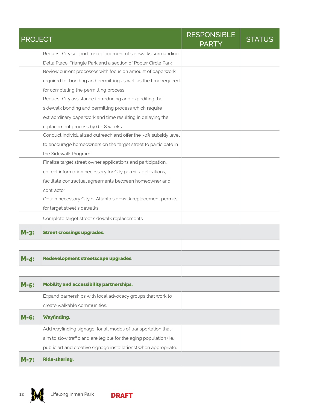| <b>PROJECT</b> |                                                                    | <b>RESPONSIBLE</b><br><b>PARTY</b> | <b>STATUS</b> |
|----------------|--------------------------------------------------------------------|------------------------------------|---------------|
|                | Request City support for replacement of sidewalks surrounding      |                                    |               |
|                | Delta Place, Triangle Park and a section of Poplar Circle Park     |                                    |               |
|                | Review current processes with focus on amount of paperwork         |                                    |               |
|                | required for bonding and permitting as well as the time required   |                                    |               |
|                | for completing the permitting process                              |                                    |               |
|                | Request City assistance for reducing and expediting the            |                                    |               |
|                | sidewalk bonding and permitting process which require              |                                    |               |
|                | extraordinary paperwork and time resulting in delaying the         |                                    |               |
|                | replacement process by 6 - 8 weeks.                                |                                    |               |
|                | Conduct individualized outreach and offer the 70% subsidy level    |                                    |               |
|                | to encourage homeowners on the target street to participate in     |                                    |               |
|                | the Sidewalk Program                                               |                                    |               |
|                | Finalize target street owner applications and participation,       |                                    |               |
|                | collect information necessary for City permit applications,        |                                    |               |
|                | facilitate contractual agreements between homeowner and            |                                    |               |
|                | contractor                                                         |                                    |               |
|                | Obtain necessary City of Atlanta sidewalk replacement permits      |                                    |               |
|                | for target street sidewalks                                        |                                    |               |
|                | Complete target street sidewalk replacements                       |                                    |               |
| M-3:           | <b>Street crossings upgrades.</b>                                  |                                    |               |
|                |                                                                    |                                    |               |
| M-4.           | Redevelopment streetscape upgrades.                                |                                    |               |
|                |                                                                    |                                    |               |
| $M-5$ :        | <b>Mobility and accessibility partnerships.</b>                    |                                    |               |
|                | Expand parnerships with local advocacy groups that work to         |                                    |               |
|                | create walkable communities.                                       |                                    |               |
| M-6:           | <b>Wayfinding.</b>                                                 |                                    |               |
|                | Add wayfinding signage, for all modes of transportation that       |                                    |               |
|                | aim to slow traffic and are legible for the aging population (i.e. |                                    |               |
|                | public art and creative signage installations) when appropriate.   |                                    |               |
| $M-7$ :        | <b>Ride-sharing.</b>                                               |                                    |               |



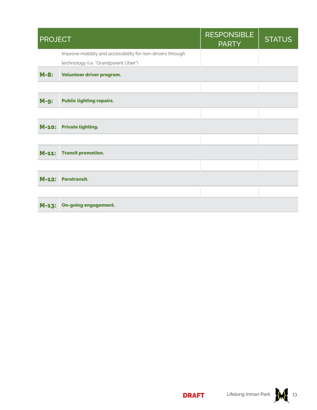| <b>PROJECT</b> |                                                            | <b>RESPONSIBLE</b><br><b>PARTY</b> | <b>STATUS</b> |
|----------------|------------------------------------------------------------|------------------------------------|---------------|
|                | Improve mobility and accessibility for non-drivers through |                                    |               |
|                | technology (i.e. "Grandparent Uber")                       |                                    |               |
| $M-8$ :        | Volunteer driver program.                                  |                                    |               |
|                |                                                            |                                    |               |
| $M-9$ :        | <b>Public lighting repairs.</b>                            |                                    |               |
|                |                                                            |                                    |               |
|                | M-10: Private lighting.                                    |                                    |               |
|                |                                                            |                                    |               |
|                | M-11: Transit promotion.                                   |                                    |               |
|                |                                                            |                                    |               |
| $M-12:$        | <b>Paratransit.</b>                                        |                                    |               |
|                |                                                            |                                    |               |
| $M-13:$        | <b>On-going engagement.</b>                                |                                    |               |

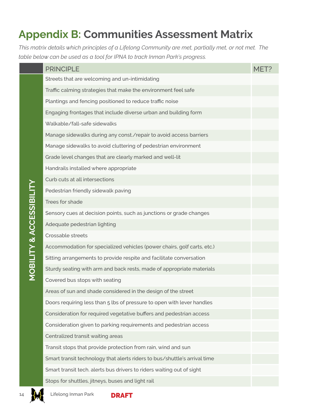#### **Appendix B: Communities Assessment Matrix**

*This matrix details which principles of a Lifelong Community are met, partially met, or not met. The table below can be used as a tool for IPNA to track Inman Park's progress.*

|  | <b>PRINCIPLE</b>                                                          | MFT? |
|--|---------------------------------------------------------------------------|------|
|  | Streets that are welcoming and un-intimidating                            |      |
|  | Traffic calming strategies that make the environment feel safe            |      |
|  | Plantings and fencing positioned to reduce traffic noise                  |      |
|  | Engaging frontages that include diverse urban and building form           |      |
|  | Walkable/fall-safe sidewalks                                              |      |
|  | Manage sidewalks during any const./repair to avoid access barriers        |      |
|  | Manage sidewalks to avoid cluttering of pedestrian environment            |      |
|  | Grade level changes that are clearly marked and well-lit                  |      |
|  | Handrails installed where appropriate                                     |      |
|  | Curb cuts at all intersections                                            |      |
|  | Pedestrian friendly sidewalk paving                                       |      |
|  | Trees for shade                                                           |      |
|  | Sensory cues at decision points, such as junctions or grade changes       |      |
|  | Adequate pedestrian lighting                                              |      |
|  | Crossable streets                                                         |      |
|  | Accommodation for specialized vehicles (power chairs, golf carts, etc.)   |      |
|  | Sitting arrangements to provide respite and facilitate conversation       |      |
|  | Sturdy seating with arm and back rests, made of appropriate materials     |      |
|  | Covered bus stops with seating                                            |      |
|  | Areas of sun and shade considered in the design of the street             |      |
|  | Doors requiring less than 5 lbs of pressure to open with lever handles    |      |
|  | Consideration for required vegetative buffers and pedestrian access       |      |
|  | Consideration given to parking requirements and pedestrian access         |      |
|  | Centralized transit waiting areas                                         |      |
|  | Transit stops that provide protection from rain, wind and sun             |      |
|  | Smart transit technology that alerts riders to bus/shuttle's arrival time |      |
|  | Smart transit tech. alerts bus drivers to riders waiting out of sight     |      |
|  | Stops for shuttles, jitneys, buses and light rail                         |      |

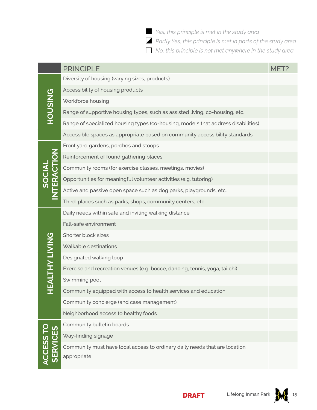*Yes, this principle is met in the study area* Í

*Partly Yes, this principle is met in parts of the study area* Ò

*No, this principle is not met anywhere in the study area* Î

|                         | <b>PRINCIPLE</b>                                                                          | MET? |
|-------------------------|-------------------------------------------------------------------------------------------|------|
|                         | Diversity of housing (varying sizes, products)                                            |      |
|                         | Accessibility of housing products                                                         |      |
|                         | Workforce housing                                                                         |      |
| <b>HOUSING</b>          | Range of supportive housing types, such as assisted living, co-housing, etc.              |      |
|                         | Range of specialized housing types (co-housing, models that address disabilities)         |      |
|                         | Accessible spaces as appropriate based on community accessibility standards               |      |
|                         | Front yard gardens, porches and stoops                                                    |      |
|                         | Reinforcement of found gathering places                                                   |      |
|                         | Community rooms (for exercise classes, meetings, movies)                                  |      |
| SOCIAL<br>INTERACTION   | Opportunities for meaningful volunteer activities (e.g. tutoring)                         |      |
|                         | Active and passive open space such as dog parks, playgrounds, etc.                        |      |
|                         | Third-places such as parks, shops, community centers, etc.                                |      |
|                         | Daily needs within safe and inviting walking distance                                     |      |
|                         | Fall-safe environment                                                                     |      |
|                         | Shorter block sizes                                                                       |      |
|                         | Walkable destinations                                                                     |      |
|                         | Designated walking loop                                                                   |      |
|                         | Exercise and recreation venues (e.g. bocce, dancing, tennis, yoga, tai chi)               |      |
| <b>EALTHY LIVING</b>    | Swimming pool                                                                             |      |
|                         | Community equipped with access to health services and education                           |      |
|                         | Community concierge (and case management)                                                 |      |
|                         | Neighborhood access to healthy foods                                                      |      |
|                         | Community bulletin boards                                                                 |      |
|                         | Way-finding signage                                                                       |      |
| ACCESS TO<br>  SERVICES | Community must have local access to ordinary daily needs that are location<br>appropriate |      |
|                         |                                                                                           |      |

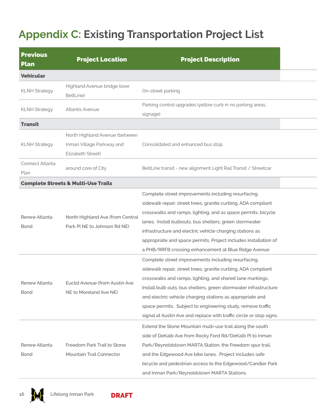### **Appendix C: Existing Transportation Project List**

| <b>Previous</b><br><b>Plan</b> | <b>Project Location</b>                                         | <b>Project Description</b>                                                                                                                                                                                                                                                                                                                                                                                                                               |  |
|--------------------------------|-----------------------------------------------------------------|----------------------------------------------------------------------------------------------------------------------------------------------------------------------------------------------------------------------------------------------------------------------------------------------------------------------------------------------------------------------------------------------------------------------------------------------------------|--|
| <b>Vehicular</b>               |                                                                 |                                                                                                                                                                                                                                                                                                                                                                                                                                                          |  |
| <b>KLNH Strategy</b>           | Highland Avenue bridge (over<br>BeltLine)                       | On-street parking                                                                                                                                                                                                                                                                                                                                                                                                                                        |  |
| <b>KLNH Strategy</b>           | <b>Atlantis Avenue</b>                                          | Parking control upgrades (yellow curb in no parking areas,<br>signage)                                                                                                                                                                                                                                                                                                                                                                                   |  |
| <b>Transit</b>                 |                                                                 |                                                                                                                                                                                                                                                                                                                                                                                                                                                          |  |
|                                | North Highland Avenue (between                                  |                                                                                                                                                                                                                                                                                                                                                                                                                                                          |  |
| <b>KLNH Strategy</b>           | Inman Village Parkway and<br>Elizabeth Street)                  | Consolidated and enhanced bus stop                                                                                                                                                                                                                                                                                                                                                                                                                       |  |
| Connect Atlanta<br>Plan        | around core of City                                             | BeltLine transit - new alignment Light Rail Transit / Streetcar                                                                                                                                                                                                                                                                                                                                                                                          |  |
|                                | <b>Complete Streets &amp; Multi-Use Trails</b>                  |                                                                                                                                                                                                                                                                                                                                                                                                                                                          |  |
| Renew Atlanta<br><b>Bond</b>   | North Highland Ave (from Central<br>Park PLNE to Johnson Rd NE) | Complete street improvements including resurfacing,<br>sidewalk repair, street trees, granite curbing, ADA compliant<br>crosswalks and ramps, lighting, and as space permits, bicycle<br>lanes. Install bulbouts, bus shelters, green stormwater<br>infrastructure and electric vehicle charging stations as<br>appropriate and space permits. Project includes installation of<br>a PHB/RRFB crossing enhancement at Blue Ridge Avenue.                 |  |
| Renew Atlanta<br><b>Bond</b>   | Euclid Avenue (from Austin Ave<br>NE to Moreland Ave NE)        | Complete street improvements including resurfacing,<br>sidewalk repair, street trees, granite curbing, ADA compliant<br>crosswalks and ramps, lighting, and shared lane markings.<br>Install bulb outs, bus shelters, green stormwater infrastructure<br>and electric vehicle charging stations as appropriate and<br>space permits. Subject to engineering study, remove traffic<br>signal at Austin Ave and replace with traffic circle or stop signs. |  |
| Renew Atlanta<br><b>Bond</b>   | Freedom Park Trail to Stone<br>Mountain Trail Connector         | Extend the Stone Mountain multi-use trail along the south<br>side of DeKalb Ave from Rocky Ford Rd/DeKalb Pl to Inman<br>Park/Reynoldstown MARTA Station, the Freedom spur trail,<br>and the Edgewood Ave bike lanes. Project includes safe<br>bicycle and pedestrian access to the Edgewood/Candler Park<br>and Inman Park/Reynoldstown MARTA Stations.                                                                                                 |  |



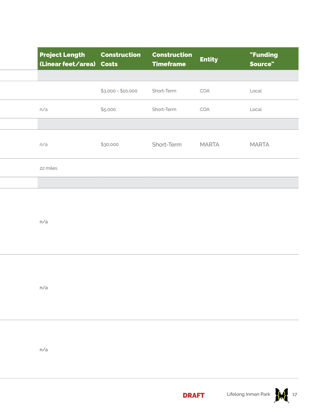| <b>Project Length</b><br>(Linear feet/area) Costs | <b>Construction</b> | <b>Construction</b><br><b>Timeframe</b> | <b>Entity</b> | "Funding<br>Source" |
|---------------------------------------------------|---------------------|-----------------------------------------|---------------|---------------------|
|                                                   |                     |                                         |               |                     |
|                                                   | $$3,000 - $10,000$  | Short-Term                              | COA           | Local               |
| n/a                                               | \$5,000             | Short-Term                              | COA           | Local               |
|                                                   |                     |                                         |               |                     |
| n/a                                               | \$30,000            | Short-Term                              | <b>MARTA</b>  | <b>MARTA</b>        |
| 22 miles                                          |                     |                                         |               |                     |
|                                                   |                     |                                         |               |                     |
| n/a                                               |                     |                                         |               |                     |

n/a

n/a

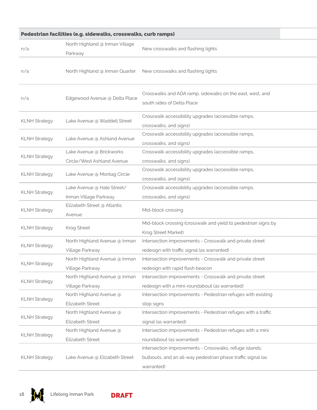| Pedestrian facilities (e.g. sidewalks, crosswalks, curb ramps) |                                                        |                                                                                                                                       |  |  |  |  |
|----------------------------------------------------------------|--------------------------------------------------------|---------------------------------------------------------------------------------------------------------------------------------------|--|--|--|--|
| n/a                                                            | North Highland @ Inman Village<br>Parkway              | New crosswalks and flashing lights                                                                                                    |  |  |  |  |
| n/a                                                            | North Highland @ Inman Quarter                         | New crosswalks and flashing lights                                                                                                    |  |  |  |  |
| n/a                                                            | Edgewood Avenue @ Delta Place                          | Crosswalks and ADA ramp, sidewalks on the east, west, and<br>south sides of Delta Place                                               |  |  |  |  |
| <b>KLNH Strategy</b>                                           | Lake Avenue @ Waddell Street                           | Crosswalk accessibility upgrades (accessible ramps,<br>crosswalks, and signs)                                                         |  |  |  |  |
| <b>KLNH Strategy</b>                                           | Lake Avenue @ Ashland Avenue                           | Crosswalk accessibility upgrades (accessible ramps,<br>crosswalks, and signs)                                                         |  |  |  |  |
| <b>KLNH Strategy</b>                                           | Lake Avenue @ Brickworks<br>Circle/West Ashland Avenue | Crosswalk accessibility upgrades (accessible ramps,<br>crosswalks, and signs)                                                         |  |  |  |  |
| <b>KLNH Strategy</b>                                           | Lake Avenue @ Montag Circle                            | Crosswalk accessibility upgrades (accessible ramps,<br>crosswalks, and signs)                                                         |  |  |  |  |
| <b>KLNH Strategy</b>                                           | Lake Avenue @ Hale Street/<br>Inman Village Parkway    | Crosswalk accessibility upgrades (accessible ramps,<br>crosswalks, and signs)                                                         |  |  |  |  |
| <b>KLNH Strategy</b>                                           | Elizabeth Street @ Atlantis<br>Avenue                  | Mid-block crossing                                                                                                                    |  |  |  |  |
| <b>KLNH Strategy</b>                                           | Krog Street                                            | Mid-block crossing (crosswalk and yield to pedestrian signs by<br>Krog Street Market)                                                 |  |  |  |  |
| <b>KLNH Strategy</b>                                           | North Highland Avenue @ Inman<br>Village Parkway       | Intersection improvements - Crosswalk and private street<br>redesign with traffic signal (as warranted)                               |  |  |  |  |
| <b>KLNH Strategy</b>                                           | North Highland Avenue @ Inman<br>Village Parkway       | Intersection improvements - Crosswalk and private street<br>redesign with rapid flash beacon                                          |  |  |  |  |
| <b>KLNH Strategy</b>                                           | North Highland Avenue @ Inman<br>Village Parkway       | Intersection improvements - Crosswalk and private street<br>redesign with a mini-roundabout (as warranted)                            |  |  |  |  |
| <b>KLNH Strategy</b>                                           | North Highland Avenue @<br>Elizabeth Street            | Intersection improvements - Pedestrian refuges with existing<br>stop signs                                                            |  |  |  |  |
| <b>KLNH Strategy</b>                                           | North Highland Avenue @<br>Elizabeth Street            | Intersection improvements - Pedestrian refuges with a traffic<br>signal (as warranted)                                                |  |  |  |  |
| <b>KLNH Strategy</b>                                           | North Highland Avenue @<br>Elizabeth Street            | Intersection improvements - Pedestrian refuges with a mini<br>roundabout (as warranted)                                               |  |  |  |  |
| <b>KLNH Strategy</b>                                           | Lake Avenue @ Elizabeth Street                         | Intersection improvements - Crosswalks, refuge islands,<br>bulbouts, and an all-way pedestrian phase traffic signal (as<br>warranted) |  |  |  |  |



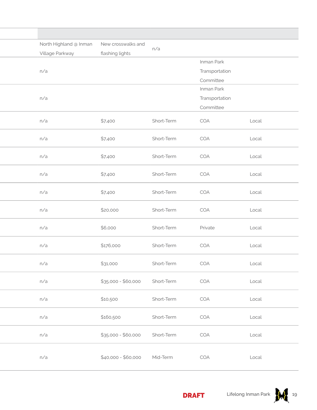|  | New crosswalks and<br>North Highland @ Inman<br>Village Parkway<br>flashing lights |                     | n/a        |                |       |
|--|------------------------------------------------------------------------------------|---------------------|------------|----------------|-------|
|  |                                                                                    |                     |            |                |       |
|  |                                                                                    |                     |            | Inman Park     |       |
|  | n/a                                                                                |                     |            | Transportation |       |
|  |                                                                                    |                     |            | Committee      |       |
|  |                                                                                    |                     |            | Inman Park     |       |
|  | n/a                                                                                |                     |            | Transportation |       |
|  |                                                                                    |                     |            | Committee      |       |
|  | n/a                                                                                | \$7,400             | Short-Term | COA            | Local |
|  | n/a                                                                                | \$7,400             | Short-Term | COA            | Local |
|  | n/a                                                                                | \$7,400             | Short-Term | COA            | Local |
|  | n/a                                                                                | \$7,400             | Short-Term | COA            | Local |
|  | n/a                                                                                | \$7,400             | Short-Term | COA            | Local |
|  | n/a                                                                                | \$20,000            | Short-Term | COA            | Local |
|  | n/a                                                                                | \$6,000             | Short-Term | Private        | Local |
|  | n/a                                                                                | \$176,000           | Short-Term | COA            | Local |
|  | n/a                                                                                | \$31,000            | Short-Term | COA            | Local |
|  | n/a                                                                                | $$35,000 - $60,000$ | Short-Term | COA            | Local |
|  | n/a                                                                                | \$10,500            | Short-Term | COA            | Local |
|  | n/a                                                                                | \$160,500           | Short-Term | COA            | Local |
|  | n/a                                                                                | $$35,000 - $60,000$ | Short-Term | COA            | Local |
|  | n/a                                                                                | $$40,000 - $60,000$ | Mid-Term   | COA            | Local |



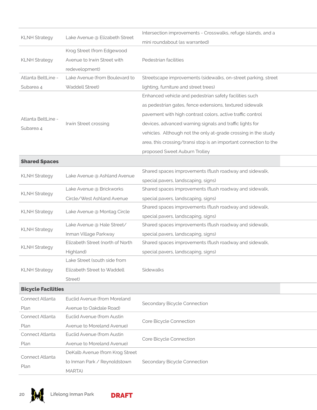| Intersection improvements - Crosswalks, refuge islands, and a<br>Lake Avenue @ Elizabeth Street<br><b>KLNH Strategy</b><br>mini roundabout (as warranted)<br>Krog Street (from Edgewood<br>Avenue to Irwin Street with<br>Pedestrian facilities<br><b>KLNH Strategy</b><br>redevelopment)<br>Atlanta BeltLine -<br>Lake Avenue (from Boulevard to<br>Streetscape improvements (sidewalks, on-street parking, street<br>Subarea 4<br>Waddell Street)<br>lighting, furniture and street trees)<br>Enhanced vehicle and pedestrian safety facilities such<br>as pedestrian gates, fence extensions, textured sidewalk<br>pavement with high contrast colors, active traffic control<br>Atlanta BeltLine -<br>Irwin Street crossing<br>devices, advanced warning signals and traffic lights for<br>Subarea 4<br>vehicles. Although not the only at-grade crossing in the study<br>area, this crossing/transi stop is an important connection to the<br>proposed Sweet Auburn Trolley<br><b>Shared Spaces</b><br>Shared spaces improvements (flush roadway and sidewalk,<br>Lake Avenue @ Ashland Avenue<br><b>KLNH Strategy</b><br>special pavers, landscaping, signs)<br>Lake Avenue @ Brickworks<br>Shared spaces improvements (flush roadway and sidewalk,<br><b>KLNH Strategy</b><br>Circle/West Ashland Avenue<br>special pavers, landscaping, signs)<br>Shared spaces improvements (flush roadway and sidewalk,<br><b>KLNH Strategy</b><br>Lake Avenue @ Montag Circle<br>special pavers, landscaping, signs)<br>Lake Avenue @ Hale Street/<br>Shared spaces improvements (flush roadway and sidewalk,<br><b>KLNH Strategy</b><br>Inman Village Parkway<br>special pavers, landscaping, signs)<br>Elizabeth Street (north of North<br>Shared spaces improvements (flush roadway and sidewalk,<br><b>KLNH Strategy</b><br>special pavers, landscaping, signs)<br>Highland)<br>Lake Street (south side from<br>Elizabeth Street to Waddell<br>Sidewalks<br><b>KLNH Strategy</b><br>Street)<br><b>Bicycle Facilities</b><br>Euclid Avenue (from Moreland<br>Connect Atlanta<br>Secondary Bicycle Connection<br>Avenue to Oakdale Road)<br>Plan<br>Connect Atlanta<br>Euclid Avenue (from Austin<br>Core Bicycle Connection<br>Avenue to Moreland Avenue)<br>Plan<br>Connect Atlanta<br>Euclid Avenue (from Austin<br>Core Bicycle Connection<br>Avenue to Moreland Avenue)<br>Plan<br>DeKalb Avenue (from Krog Street<br>Connect Atlanta<br>to Inman Park / Reynoldstown<br>Secondary Bicycle Connection<br>Plan<br>MARTA) |  |  |  |
|---------------------------------------------------------------------------------------------------------------------------------------------------------------------------------------------------------------------------------------------------------------------------------------------------------------------------------------------------------------------------------------------------------------------------------------------------------------------------------------------------------------------------------------------------------------------------------------------------------------------------------------------------------------------------------------------------------------------------------------------------------------------------------------------------------------------------------------------------------------------------------------------------------------------------------------------------------------------------------------------------------------------------------------------------------------------------------------------------------------------------------------------------------------------------------------------------------------------------------------------------------------------------------------------------------------------------------------------------------------------------------------------------------------------------------------------------------------------------------------------------------------------------------------------------------------------------------------------------------------------------------------------------------------------------------------------------------------------------------------------------------------------------------------------------------------------------------------------------------------------------------------------------------------------------------------------------------------------------------------------------------------------------------------------------------------------------------------------------------------------------------------------------------------------------------------------------------------------------------------------------------------------------------------------------------------------------------------------------------------------------------------------------------------------------------------------------------------------------------------------------------------------------|--|--|--|
|                                                                                                                                                                                                                                                                                                                                                                                                                                                                                                                                                                                                                                                                                                                                                                                                                                                                                                                                                                                                                                                                                                                                                                                                                                                                                                                                                                                                                                                                                                                                                                                                                                                                                                                                                                                                                                                                                                                                                                                                                                                                                                                                                                                                                                                                                                                                                                                                                                                                                                                           |  |  |  |
|                                                                                                                                                                                                                                                                                                                                                                                                                                                                                                                                                                                                                                                                                                                                                                                                                                                                                                                                                                                                                                                                                                                                                                                                                                                                                                                                                                                                                                                                                                                                                                                                                                                                                                                                                                                                                                                                                                                                                                                                                                                                                                                                                                                                                                                                                                                                                                                                                                                                                                                           |  |  |  |
|                                                                                                                                                                                                                                                                                                                                                                                                                                                                                                                                                                                                                                                                                                                                                                                                                                                                                                                                                                                                                                                                                                                                                                                                                                                                                                                                                                                                                                                                                                                                                                                                                                                                                                                                                                                                                                                                                                                                                                                                                                                                                                                                                                                                                                                                                                                                                                                                                                                                                                                           |  |  |  |
|                                                                                                                                                                                                                                                                                                                                                                                                                                                                                                                                                                                                                                                                                                                                                                                                                                                                                                                                                                                                                                                                                                                                                                                                                                                                                                                                                                                                                                                                                                                                                                                                                                                                                                                                                                                                                                                                                                                                                                                                                                                                                                                                                                                                                                                                                                                                                                                                                                                                                                                           |  |  |  |
|                                                                                                                                                                                                                                                                                                                                                                                                                                                                                                                                                                                                                                                                                                                                                                                                                                                                                                                                                                                                                                                                                                                                                                                                                                                                                                                                                                                                                                                                                                                                                                                                                                                                                                                                                                                                                                                                                                                                                                                                                                                                                                                                                                                                                                                                                                                                                                                                                                                                                                                           |  |  |  |
|                                                                                                                                                                                                                                                                                                                                                                                                                                                                                                                                                                                                                                                                                                                                                                                                                                                                                                                                                                                                                                                                                                                                                                                                                                                                                                                                                                                                                                                                                                                                                                                                                                                                                                                                                                                                                                                                                                                                                                                                                                                                                                                                                                                                                                                                                                                                                                                                                                                                                                                           |  |  |  |
|                                                                                                                                                                                                                                                                                                                                                                                                                                                                                                                                                                                                                                                                                                                                                                                                                                                                                                                                                                                                                                                                                                                                                                                                                                                                                                                                                                                                                                                                                                                                                                                                                                                                                                                                                                                                                                                                                                                                                                                                                                                                                                                                                                                                                                                                                                                                                                                                                                                                                                                           |  |  |  |
|                                                                                                                                                                                                                                                                                                                                                                                                                                                                                                                                                                                                                                                                                                                                                                                                                                                                                                                                                                                                                                                                                                                                                                                                                                                                                                                                                                                                                                                                                                                                                                                                                                                                                                                                                                                                                                                                                                                                                                                                                                                                                                                                                                                                                                                                                                                                                                                                                                                                                                                           |  |  |  |
|                                                                                                                                                                                                                                                                                                                                                                                                                                                                                                                                                                                                                                                                                                                                                                                                                                                                                                                                                                                                                                                                                                                                                                                                                                                                                                                                                                                                                                                                                                                                                                                                                                                                                                                                                                                                                                                                                                                                                                                                                                                                                                                                                                                                                                                                                                                                                                                                                                                                                                                           |  |  |  |
|                                                                                                                                                                                                                                                                                                                                                                                                                                                                                                                                                                                                                                                                                                                                                                                                                                                                                                                                                                                                                                                                                                                                                                                                                                                                                                                                                                                                                                                                                                                                                                                                                                                                                                                                                                                                                                                                                                                                                                                                                                                                                                                                                                                                                                                                                                                                                                                                                                                                                                                           |  |  |  |
|                                                                                                                                                                                                                                                                                                                                                                                                                                                                                                                                                                                                                                                                                                                                                                                                                                                                                                                                                                                                                                                                                                                                                                                                                                                                                                                                                                                                                                                                                                                                                                                                                                                                                                                                                                                                                                                                                                                                                                                                                                                                                                                                                                                                                                                                                                                                                                                                                                                                                                                           |  |  |  |
|                                                                                                                                                                                                                                                                                                                                                                                                                                                                                                                                                                                                                                                                                                                                                                                                                                                                                                                                                                                                                                                                                                                                                                                                                                                                                                                                                                                                                                                                                                                                                                                                                                                                                                                                                                                                                                                                                                                                                                                                                                                                                                                                                                                                                                                                                                                                                                                                                                                                                                                           |  |  |  |
|                                                                                                                                                                                                                                                                                                                                                                                                                                                                                                                                                                                                                                                                                                                                                                                                                                                                                                                                                                                                                                                                                                                                                                                                                                                                                                                                                                                                                                                                                                                                                                                                                                                                                                                                                                                                                                                                                                                                                                                                                                                                                                                                                                                                                                                                                                                                                                                                                                                                                                                           |  |  |  |
|                                                                                                                                                                                                                                                                                                                                                                                                                                                                                                                                                                                                                                                                                                                                                                                                                                                                                                                                                                                                                                                                                                                                                                                                                                                                                                                                                                                                                                                                                                                                                                                                                                                                                                                                                                                                                                                                                                                                                                                                                                                                                                                                                                                                                                                                                                                                                                                                                                                                                                                           |  |  |  |
|                                                                                                                                                                                                                                                                                                                                                                                                                                                                                                                                                                                                                                                                                                                                                                                                                                                                                                                                                                                                                                                                                                                                                                                                                                                                                                                                                                                                                                                                                                                                                                                                                                                                                                                                                                                                                                                                                                                                                                                                                                                                                                                                                                                                                                                                                                                                                                                                                                                                                                                           |  |  |  |
|                                                                                                                                                                                                                                                                                                                                                                                                                                                                                                                                                                                                                                                                                                                                                                                                                                                                                                                                                                                                                                                                                                                                                                                                                                                                                                                                                                                                                                                                                                                                                                                                                                                                                                                                                                                                                                                                                                                                                                                                                                                                                                                                                                                                                                                                                                                                                                                                                                                                                                                           |  |  |  |
|                                                                                                                                                                                                                                                                                                                                                                                                                                                                                                                                                                                                                                                                                                                                                                                                                                                                                                                                                                                                                                                                                                                                                                                                                                                                                                                                                                                                                                                                                                                                                                                                                                                                                                                                                                                                                                                                                                                                                                                                                                                                                                                                                                                                                                                                                                                                                                                                                                                                                                                           |  |  |  |
|                                                                                                                                                                                                                                                                                                                                                                                                                                                                                                                                                                                                                                                                                                                                                                                                                                                                                                                                                                                                                                                                                                                                                                                                                                                                                                                                                                                                                                                                                                                                                                                                                                                                                                                                                                                                                                                                                                                                                                                                                                                                                                                                                                                                                                                                                                                                                                                                                                                                                                                           |  |  |  |
|                                                                                                                                                                                                                                                                                                                                                                                                                                                                                                                                                                                                                                                                                                                                                                                                                                                                                                                                                                                                                                                                                                                                                                                                                                                                                                                                                                                                                                                                                                                                                                                                                                                                                                                                                                                                                                                                                                                                                                                                                                                                                                                                                                                                                                                                                                                                                                                                                                                                                                                           |  |  |  |
|                                                                                                                                                                                                                                                                                                                                                                                                                                                                                                                                                                                                                                                                                                                                                                                                                                                                                                                                                                                                                                                                                                                                                                                                                                                                                                                                                                                                                                                                                                                                                                                                                                                                                                                                                                                                                                                                                                                                                                                                                                                                                                                                                                                                                                                                                                                                                                                                                                                                                                                           |  |  |  |
|                                                                                                                                                                                                                                                                                                                                                                                                                                                                                                                                                                                                                                                                                                                                                                                                                                                                                                                                                                                                                                                                                                                                                                                                                                                                                                                                                                                                                                                                                                                                                                                                                                                                                                                                                                                                                                                                                                                                                                                                                                                                                                                                                                                                                                                                                                                                                                                                                                                                                                                           |  |  |  |
|                                                                                                                                                                                                                                                                                                                                                                                                                                                                                                                                                                                                                                                                                                                                                                                                                                                                                                                                                                                                                                                                                                                                                                                                                                                                                                                                                                                                                                                                                                                                                                                                                                                                                                                                                                                                                                                                                                                                                                                                                                                                                                                                                                                                                                                                                                                                                                                                                                                                                                                           |  |  |  |
|                                                                                                                                                                                                                                                                                                                                                                                                                                                                                                                                                                                                                                                                                                                                                                                                                                                                                                                                                                                                                                                                                                                                                                                                                                                                                                                                                                                                                                                                                                                                                                                                                                                                                                                                                                                                                                                                                                                                                                                                                                                                                                                                                                                                                                                                                                                                                                                                                                                                                                                           |  |  |  |
|                                                                                                                                                                                                                                                                                                                                                                                                                                                                                                                                                                                                                                                                                                                                                                                                                                                                                                                                                                                                                                                                                                                                                                                                                                                                                                                                                                                                                                                                                                                                                                                                                                                                                                                                                                                                                                                                                                                                                                                                                                                                                                                                                                                                                                                                                                                                                                                                                                                                                                                           |  |  |  |
|                                                                                                                                                                                                                                                                                                                                                                                                                                                                                                                                                                                                                                                                                                                                                                                                                                                                                                                                                                                                                                                                                                                                                                                                                                                                                                                                                                                                                                                                                                                                                                                                                                                                                                                                                                                                                                                                                                                                                                                                                                                                                                                                                                                                                                                                                                                                                                                                                                                                                                                           |  |  |  |
|                                                                                                                                                                                                                                                                                                                                                                                                                                                                                                                                                                                                                                                                                                                                                                                                                                                                                                                                                                                                                                                                                                                                                                                                                                                                                                                                                                                                                                                                                                                                                                                                                                                                                                                                                                                                                                                                                                                                                                                                                                                                                                                                                                                                                                                                                                                                                                                                                                                                                                                           |  |  |  |
|                                                                                                                                                                                                                                                                                                                                                                                                                                                                                                                                                                                                                                                                                                                                                                                                                                                                                                                                                                                                                                                                                                                                                                                                                                                                                                                                                                                                                                                                                                                                                                                                                                                                                                                                                                                                                                                                                                                                                                                                                                                                                                                                                                                                                                                                                                                                                                                                                                                                                                                           |  |  |  |
|                                                                                                                                                                                                                                                                                                                                                                                                                                                                                                                                                                                                                                                                                                                                                                                                                                                                                                                                                                                                                                                                                                                                                                                                                                                                                                                                                                                                                                                                                                                                                                                                                                                                                                                                                                                                                                                                                                                                                                                                                                                                                                                                                                                                                                                                                                                                                                                                                                                                                                                           |  |  |  |
|                                                                                                                                                                                                                                                                                                                                                                                                                                                                                                                                                                                                                                                                                                                                                                                                                                                                                                                                                                                                                                                                                                                                                                                                                                                                                                                                                                                                                                                                                                                                                                                                                                                                                                                                                                                                                                                                                                                                                                                                                                                                                                                                                                                                                                                                                                                                                                                                                                                                                                                           |  |  |  |
|                                                                                                                                                                                                                                                                                                                                                                                                                                                                                                                                                                                                                                                                                                                                                                                                                                                                                                                                                                                                                                                                                                                                                                                                                                                                                                                                                                                                                                                                                                                                                                                                                                                                                                                                                                                                                                                                                                                                                                                                                                                                                                                                                                                                                                                                                                                                                                                                                                                                                                                           |  |  |  |
|                                                                                                                                                                                                                                                                                                                                                                                                                                                                                                                                                                                                                                                                                                                                                                                                                                                                                                                                                                                                                                                                                                                                                                                                                                                                                                                                                                                                                                                                                                                                                                                                                                                                                                                                                                                                                                                                                                                                                                                                                                                                                                                                                                                                                                                                                                                                                                                                                                                                                                                           |  |  |  |
|                                                                                                                                                                                                                                                                                                                                                                                                                                                                                                                                                                                                                                                                                                                                                                                                                                                                                                                                                                                                                                                                                                                                                                                                                                                                                                                                                                                                                                                                                                                                                                                                                                                                                                                                                                                                                                                                                                                                                                                                                                                                                                                                                                                                                                                                                                                                                                                                                                                                                                                           |  |  |  |
|                                                                                                                                                                                                                                                                                                                                                                                                                                                                                                                                                                                                                                                                                                                                                                                                                                                                                                                                                                                                                                                                                                                                                                                                                                                                                                                                                                                                                                                                                                                                                                                                                                                                                                                                                                                                                                                                                                                                                                                                                                                                                                                                                                                                                                                                                                                                                                                                                                                                                                                           |  |  |  |
|                                                                                                                                                                                                                                                                                                                                                                                                                                                                                                                                                                                                                                                                                                                                                                                                                                                                                                                                                                                                                                                                                                                                                                                                                                                                                                                                                                                                                                                                                                                                                                                                                                                                                                                                                                                                                                                                                                                                                                                                                                                                                                                                                                                                                                                                                                                                                                                                                                                                                                                           |  |  |  |
|                                                                                                                                                                                                                                                                                                                                                                                                                                                                                                                                                                                                                                                                                                                                                                                                                                                                                                                                                                                                                                                                                                                                                                                                                                                                                                                                                                                                                                                                                                                                                                                                                                                                                                                                                                                                                                                                                                                                                                                                                                                                                                                                                                                                                                                                                                                                                                                                                                                                                                                           |  |  |  |
|                                                                                                                                                                                                                                                                                                                                                                                                                                                                                                                                                                                                                                                                                                                                                                                                                                                                                                                                                                                                                                                                                                                                                                                                                                                                                                                                                                                                                                                                                                                                                                                                                                                                                                                                                                                                                                                                                                                                                                                                                                                                                                                                                                                                                                                                                                                                                                                                                                                                                                                           |  |  |  |
|                                                                                                                                                                                                                                                                                                                                                                                                                                                                                                                                                                                                                                                                                                                                                                                                                                                                                                                                                                                                                                                                                                                                                                                                                                                                                                                                                                                                                                                                                                                                                                                                                                                                                                                                                                                                                                                                                                                                                                                                                                                                                                                                                                                                                                                                                                                                                                                                                                                                                                                           |  |  |  |
|                                                                                                                                                                                                                                                                                                                                                                                                                                                                                                                                                                                                                                                                                                                                                                                                                                                                                                                                                                                                                                                                                                                                                                                                                                                                                                                                                                                                                                                                                                                                                                                                                                                                                                                                                                                                                                                                                                                                                                                                                                                                                                                                                                                                                                                                                                                                                                                                                                                                                                                           |  |  |  |



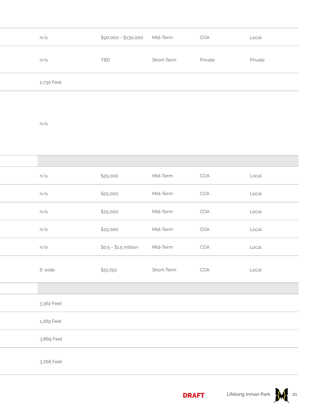| n/a        | $$90,000 - $130,000$  | Mid-Term   | COA     | Local   |
|------------|-----------------------|------------|---------|---------|
| n/a        | TBD                   | Short-Term | Private | Private |
| 2,730 Feet |                       |            |         |         |
|            |                       |            |         |         |
| n/a        |                       |            |         |         |
|            |                       |            |         |         |
|            |                       |            |         |         |
| n/a        | \$25,000              | Mid-Term   | COA     | Local   |
| n/a        | \$25,000              | Mid-Term   | COA     | Local   |
| n/a        | \$25,000              | Mid-Term   | COA     | Local   |
| n/a        | \$25,000              | Mid-Term   | COA     | Local   |
| n/a        | $$0.5 - $1.5$ million | Mid-Term   | COA     | Local   |
| 6' wide    | \$51,750              | Short-Term | COA     | Local   |
|            |                       |            |         |         |
|            |                       |            |         |         |

3,362 Feet

1,289 Feet

3,869 Feet

3,768 Feet



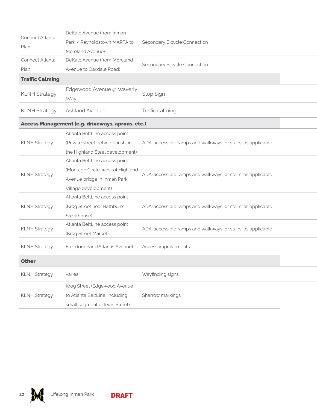| Connect Atlanta        | DeKalb Avenue (from Inman                        |                                                             |  |
|------------------------|--------------------------------------------------|-------------------------------------------------------------|--|
|                        | Park / Reynoldstown MARTA to                     | Secondary Bicycle Connection                                |  |
| Plan                   | Moreland Avenue)                                 |                                                             |  |
| Connect Atlanta        | DeKalb Avenue (from Moreland                     | Secondary Bicycle Connection                                |  |
| Plan                   | Avenue to Oakdale Road)                          |                                                             |  |
| <b>Traffic Calming</b> |                                                  |                                                             |  |
|                        | Edgewood Avenue @ Waverly                        |                                                             |  |
| <b>KLNH Strategy</b>   | Way                                              | Stop Sign                                                   |  |
| <b>KLNH Strategy</b>   | <b>Ashland Avenue</b>                            | Traffic calming                                             |  |
|                        | Access Management (e.g. driveways, aprons, etc.) |                                                             |  |
|                        | Atlanta BeltLine access point                    |                                                             |  |
| <b>KLNH Strategy</b>   | (Private street behind Parish, in                | ADA-accessible ramps and walkways, or stairs, as applicable |  |
|                        | the Highland Steel development)                  |                                                             |  |
|                        | Atlanta BeltLine access point                    |                                                             |  |
| <b>KLNH Strategy</b>   | (Montage Circle, west of Highland                | ADA-accessible ramps and walkways, or stairs, as applicable |  |
|                        | Avenue bridge in Inman Park                      |                                                             |  |
|                        | Village development)                             |                                                             |  |
|                        | Atlanta BeltLine access point                    |                                                             |  |
| <b>KLNH Strategy</b>   | (Krog Street near Rathbun's                      | ADA-accessible ramps and walkways, or stairs, as applicable |  |
|                        | Steakhouse)                                      |                                                             |  |
| <b>KLNH Strategy</b>   | Atlanta BeltLine access point                    | ADA-accessible ramps and walkways, or stairs, as applicable |  |
|                        | (Krog Street Market)                             |                                                             |  |
| <b>KLNH Strategy</b>   | Freedom Park (Atlantis Avenue)                   | Access improvements                                         |  |
| <b>Other</b>           |                                                  |                                                             |  |
| <b>KLNH Strategy</b>   | varies                                           | Wayfinding signs                                            |  |
|                        | Krog Street (Edgewood Avenue                     |                                                             |  |
| <b>KLNH Strategy</b>   | to Atlanta BeltLine, including                   | Sharrow markings                                            |  |
|                        | small segment of Irwin Street)                   |                                                             |  |
|                        |                                                  |                                                             |  |